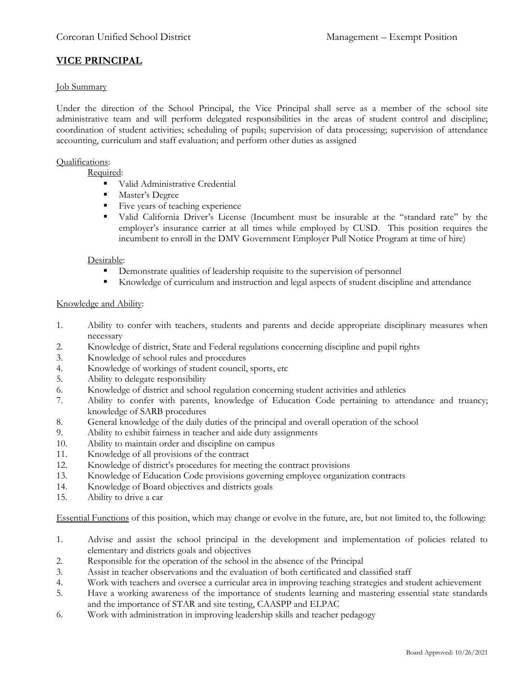# **VICE PRINCIPAL**

### Job Summary

Under the direction of the School Principal, the Vice Principal shall serve as a member of the school site administrative team and will perform delegated responsibilities in the areas of student control and discipline; coordination of student activities; scheduling of pupils; supervision of data processing; supervision of attendance accounting, curriculum and staff evaluation; and perform other duties as assigned

#### Qualifications:

Required:

- Valid Administrative Credential
- Master's Degree
- Five years of teaching experience
- Valid California Driver's License (Incumbent must be insurable at the "standard rate" by the employer's insurance carrier at all times while employed by CUSD. This position requires the incumbent to enroll in the DMV Government Employer Pull Notice Program at time of hire)

### Desirable:

- Demonstrate qualities of leadership requisite to the supervision of personnel
- Knowledge of curriculum and instruction and legal aspects of student discipline and attendance

### Knowledge and Ability:

- 1. Ability to confer with teachers, students and parents and decide appropriate disciplinary measures when necessary
- 2. Knowledge of district, State and Federal regulations concerning discipline and pupil rights
- 3. Knowledge of school rules and procedures
- 4. Knowledge of workings of student council, sports, etc
- 5. Ability to delegate responsibility
- 6. Knowledge of district and school regulation concerning student activities and athletics
- 7. Ability to confer with parents, knowledge of Education Code pertaining to attendance and truancy; knowledge of SARB procedures
- 8. General knowledge of the daily duties of the principal and overall operation of the school
- 9. Ability to exhibit fairness in teacher and aide duty assignments
- 10. Ability to maintain order and discipline on campus
- 11. Knowledge of all provisions of the contract
- 12. Knowledge of district's procedures for meeting the contract provisions
- 13. Knowledge of Education Code provisions governing employee organization contracts
- 14. Knowledge of Board objectives and districts goals
- 15. Ability to drive a car

Essential Functions of this position, which may change or evolve in the future, are, but not limited to, the following:

- 1. Advise and assist the school principal in the development and implementation of policies related to elementary and districts goals and objectives
- 2. Responsible for the operation of the school in the absence of the Principal
- 3. Assist in teacher observations and the evaluation of both certificated and classified staff
- 4. Work with teachers and oversee a curricular area in improving teaching strategies and student achievement
- 5. Have a working awareness of the importance of students learning and mastering essential state standards and the importance of STAR and site testing, CAASPP and ELPAC
- 6. Work with administration in improving leadership skills and teacher pedagogy